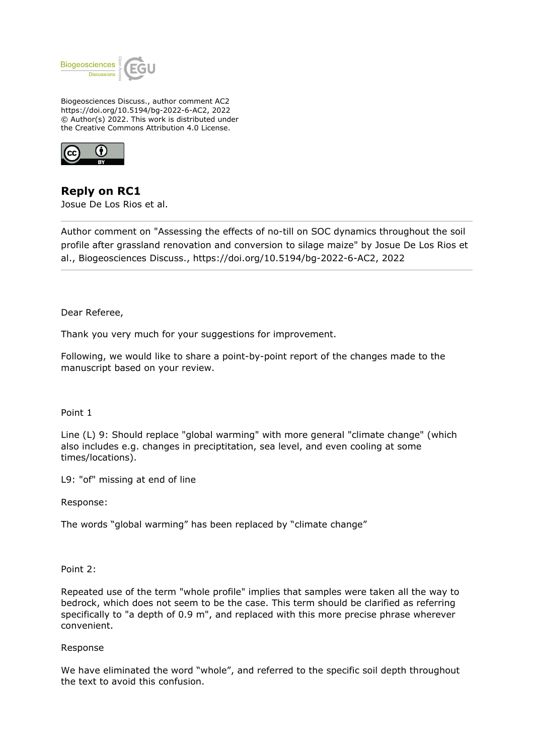

Biogeosciences Discuss., author comment AC2 https://doi.org/10.5194/bg-2022-6-AC2, 2022 © Author(s) 2022. This work is distributed under the Creative Commons Attribution 4.0 License.



**Reply on RC1** Josue De Los Rios et al.

Author comment on "Assessing the effects of no-till on SOC dynamics throughout the soil profile after grassland renovation and conversion to silage maize" by Josue De Los Rios et al., Biogeosciences Discuss., https://doi.org/10.5194/bg-2022-6-AC2, 2022

Dear Referee,

Thank you very much for your suggestions for improvement.

Following, we would like to share a point-by-point report of the changes made to the manuscript based on your review.

Point 1

Line (L) 9: Should replace "global warming" with more general "climate change" (which also includes e.g. changes in preciptitation, sea level, and even cooling at some times/locations).

L9: "of" missing at end of line

Response:

The words "global warming" has been replaced by "climate change"

Point 2:

Repeated use of the term "whole profile" implies that samples were taken all the way to bedrock, which does not seem to be the case. This term should be clarified as referring specifically to "a depth of 0.9 m", and replaced with this more precise phrase wherever convenient.

Response

We have eliminated the word "whole", and referred to the specific soil depth throughout the text to avoid this confusion.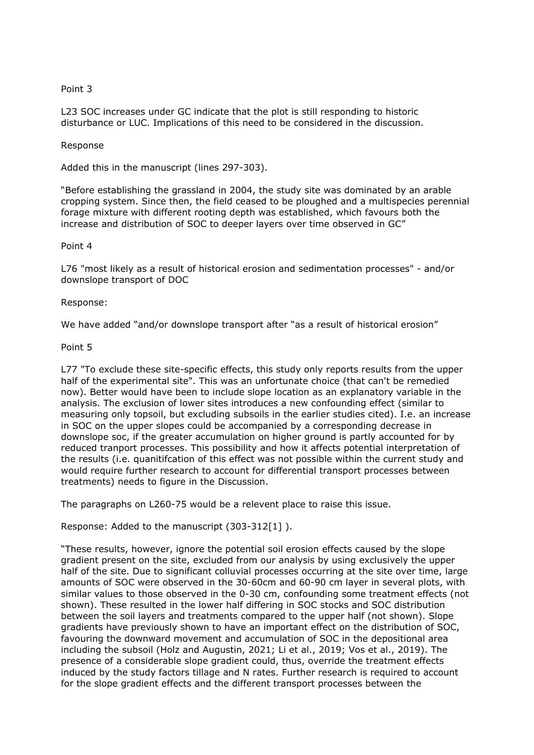# Point 3

L23 SOC increases under GC indicate that the plot is still responding to historic disturbance or LUC. Implications of this need to be considered in the discussion.

### Response

Added this in the manuscript (lines 297-303).

"Before establishing the grassland in 2004, the study site was dominated by an arable cropping system. Since then, the field ceased to be ploughed and a multispecies perennial forage mixture with different rooting depth was established, which favours both the increase and distribution of SOC to deeper layers over time observed in GC"

# Point 4

L76 "most likely as a result of historical erosion and sedimentation processes" - and/or downslope transport of DOC

# Response:

We have added "and/or downslope transport after "as a result of historical erosion"

# Point 5

L77 "To exclude these site-specific effects, this study only reports results from the upper half of the experimental site". This was an unfortunate choice (that can't be remedied now). Better would have been to include slope location as an explanatory variable in the analysis. The exclusion of lower sites introduces a new confounding effect (similar to measuring only topsoil, but excluding subsoils in the earlier studies cited). I.e. an increase in SOC on the upper slopes could be accompanied by a corresponding decrease in downslope soc, if the greater accumulation on higher ground is partly accounted for by reduced tranport processes. This possibility and how it affects potential interpretation of the results (i.e. quanitifcation of this effect was not possible within the current study and would require further research to account for differential transport processes between treatments) needs to figure in the Discussion.

The paragraphs on L260-75 would be a relevent place to raise this issue.

Response: Added to the manuscript (303-312[1] ).

"These results, however, ignore the potential soil erosion effects caused by the slope gradient present on the site, excluded from our analysis by using exclusively the upper half of the site. Due to significant colluvial processes occurring at the site over time, large amounts of SOC were observed in the 30-60cm and 60-90 cm layer in several plots, with similar values to those observed in the 0-30 cm, confounding some treatment effects (not shown). These resulted in the lower half differing in SOC stocks and SOC distribution between the soil layers and treatments compared to the upper half (not shown). Slope gradients have previously shown to have an important effect on the distribution of SOC, favouring the downward movement and accumulation of SOC in the depositional area including the subsoil (Holz and Augustin, 2021; Li et al., 2019; Vos et al., 2019). The presence of a considerable slope gradient could, thus, override the treatment effects induced by the study factors tillage and N rates. Further research is required to account for the slope gradient effects and the different transport processes between the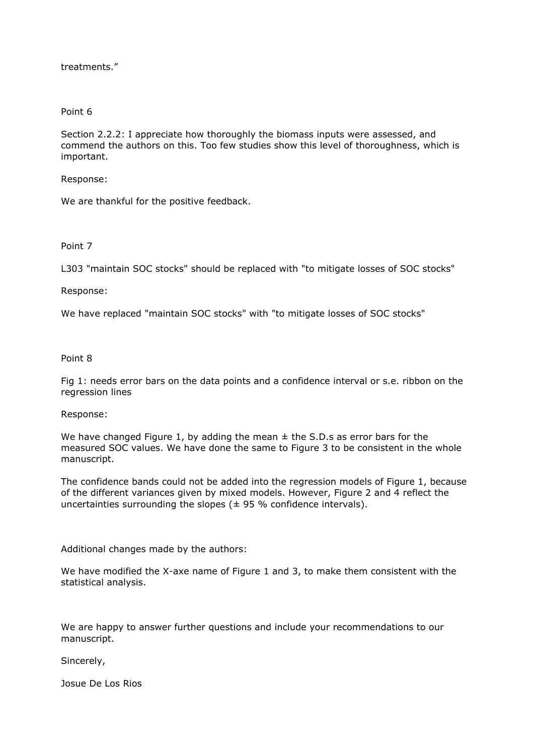treatments."

#### Point 6

Section 2.2.2: I appreciate how thoroughly the biomass inputs were assessed, and commend the authors on this. Too few studies show this level of thoroughness, which is important.

Response:

We are thankful for the positive feedback.

Point 7

L303 "maintain SOC stocks" should be replaced with "to mitigate losses of SOC stocks"

Response:

We have replaced "maintain SOC stocks" with "to mitigate losses of SOC stocks"

Point 8

Fig 1: needs error bars on the data points and a confidence interval or s.e. ribbon on the regression lines

#### Response:

We have changed Figure 1, by adding the mean  $\pm$  the S.D.s as error bars for the measured SOC values. We have done the same to Figure 3 to be consistent in the whole manuscript.

The confidence bands could not be added into the regression models of Figure 1, because of the different variances given by mixed models. However, Figure 2 and 4 reflect the uncertainties surrounding the slopes ( $\pm$  95 % confidence intervals).

Additional changes made by the authors:

We have modified the X-axe name of Figure 1 and 3, to make them consistent with the statistical analysis.

We are happy to answer further questions and include your recommendations to our manuscript.

Sincerely,

Josue De Los Rios